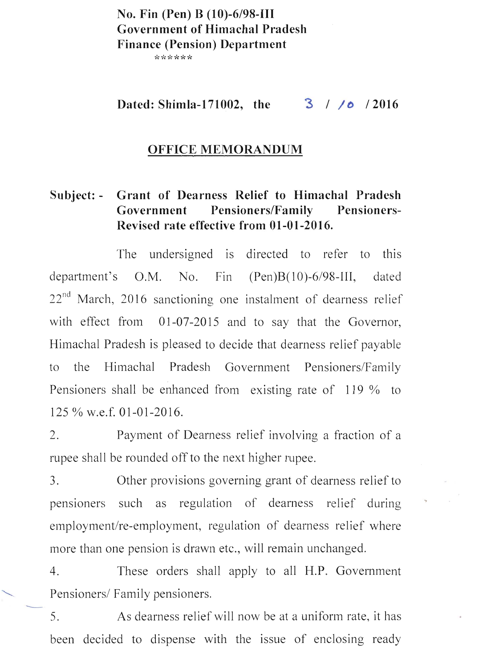## **No. Fin (Pen) B (10)-6/98-111 Government of Himachal Pradesh Finance (Pension) Department**

\*\*\*\*\*\*

Dated: Shimla-171002, the  $\frac{3}{7}$  / *I*<sub>0</sub> / 2016

#### **OFFICE MEMORANDUM**

## **Subject: - Grant of Dearness Relief to Himachal Pradesh**  Government Pensioners/Family Pensioners-**Revised rate effective from 01-01-2016.**

The undersigned is directed to refer to this department's O.M. No. Fin (Pen)B(10)-6/98-III, dated  $22<sup>nd</sup>$  March, 2016 sanctioning one instalment of dearness relief with effect from 01-07-2015 and to say that the Governor, Himachal Pradesh is pleased to decide that dearness relief payable to the Himachal Pradesh Government Pensioners/Family Pensioners shall be enhanced from existing rate of 119 % to 125 % w.e.f. 01-01-2016.

2. Payment of Dearness relief involving a fraction of a rupee shall be rounded off to the next higher rupee.

3. Other provisions governing grant of dearness relief to pensioners such as regulation of dearness relief during employment/re-employment, regulation of dearness relief where more than one pension is drawn etc., will remain unchanged.

4. These orders shall apply to all H.P. Government Pensioners/ Family pensioners.

5. As dearness relief will now be at a uniform rate, it has been decided to dispense with the issue of enclosing ready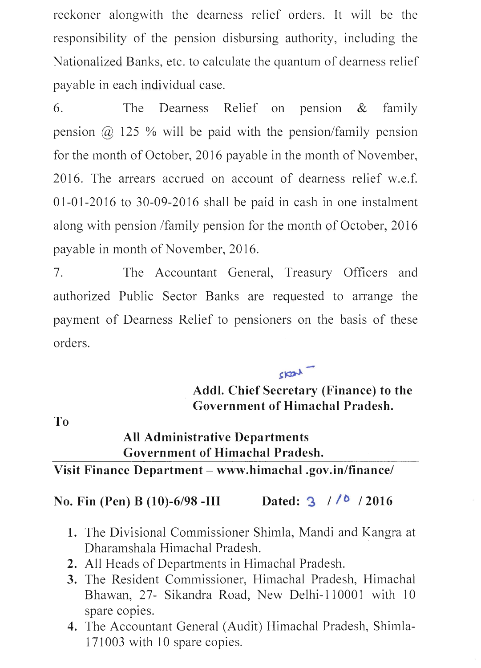reckoner alongwith the dearness relief orders. It will be the responsibility of the pension disbursing authority, including the Nationalized Banks, etc. to calculate the quantum of dearness relief payable in each individual case.

6. The Dearness Relief on pension  $\&$  family pension  $\omega$  125 % will be paid with the pension/family pension for the month of October, 2016 payable in the month of November, 2016. The arrears accrued on account of dearness relief w.e.f. 01-01-2016 to 30-09-2016 shall be paid in cash in one instalment along with pension /family pension for the month of October, 2016 payable in month of November, 2016.

7. The Accountant General, Treasury Officers and authorized Public Sector Banks are requested to arrange the payment of Dearness Relief to pensioners on the basis of these orders.

> . **Addl. Chief Secretary (Finance) to the Government of Himachal Pradesh.**

skart -

**To** 

# **All Administrative Departments Government of Himachal Pradesh.**

### **Visit Finance Department - www.himachal.gov.in/finance/**

## **No. Fin (Pen) B (10)-6/98 -III Dated: '3** *1 10* **12016**

- 1. The Divisional Commissioner Shimla, Mandi and Kangra at Dharamshala Himachal Pradesh.
- **2.** All Heads of Departments in Himachal Pradesh.
- **3.** The Resident Commissioner, Himachal Pradesh, Himachal Bhawan, 27- Sikandra Road, New Delhi-l 10001 with 10 spare copies.
- **4.** The Accountant General (Audit) Himachal Pradesh, Shimla-171003 with 10 spare copies.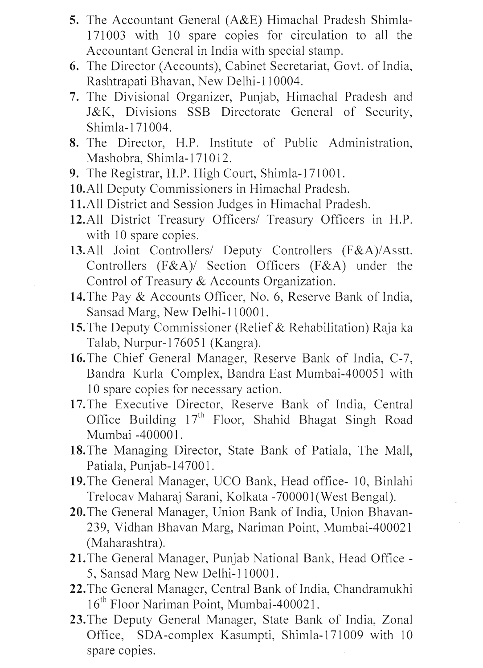- S. The Accountant General (A&E) Himachal Pradesh Shimla-171003 with 10 spare copies for circulation to all the Accountant General in India with special stamp.
- 6. The Director (Accounts), Cabinet Secretariat, Govt. of India, Rashtrapati Bhavan, New Delhi-II 0004.
- 7. The Divisional Organizer, Punjab, Himachal Pradesh and J&K, Divisions SSB Directorate General of Security, Shimla-171004.
- 8. The Director, H.P. Institute of Public Administration, Mashobra, Shimla-I7IOI2.
- 9. The Registrar, H.P. High Court, Shimla-171001.
- IO.All Deputy Commissioners in Himachal Pradesh.
- 11.All District and Session Judges in Himachal Pradesh.
- 12.All District Treasury Officers/ Treasury Officers in H.P. with 10 spare copies.
- 13.All Joint Controllers/ Deputy Controllers (F&A)/Asstt. Controllers (F&A)/ Section Officers (F&A) under the Control of Treasury & Accounts Organization.
- 14. The Pay & Accounts Officer, No. 6, Reserve Bank of India, Sansad Marg, New Delhi-110001.
- IS.The Deputy Commissioner (Relief & Rehabilitation) Raja ka Talab, Nurpur-I7605I (Kangra).
- 16. The Chief General Manager, Reserve Bank of India, C-7, Bandra Kurla Complex, Bandra East Mumbai-400051 with 10 spare copies for necessary action.
- 17. The Executive Director, Reserve Bank of India, Central Office Building  $17<sup>th</sup>$  Floor, Shahid Bhagat Singh Road Mumbai -400001.
- 18. The Managing Director, State Bank of Patiala, The Mall, Patiala, Punjab-147001.
- 19. The General Manager, UCO Bank, Head office- 10, Binlahi Trelocav Maharaj Sarani, Kolkata -700001 (West Bengal).
- 20. The General Manager, Union Bank of India, Union Bhavan-239, Vidhan Bhavan Marg, Nariman Point, Mumbai-400021 (Maharashtra).
- 21.The General Manager, Punjab National Bank, Head Office 5, Sansad Marg New Delhi-110001.
- 22. The General Manager, Central Bank of India, Chandramukhi 16<sup>th</sup> Floor Nariman Point, Mumbai-400021.
- 23. The Deputy General Manager, State Bank of India, Zonal Office, SDA-complex Kasumpti, Shimla-171009 with 10 spare copies.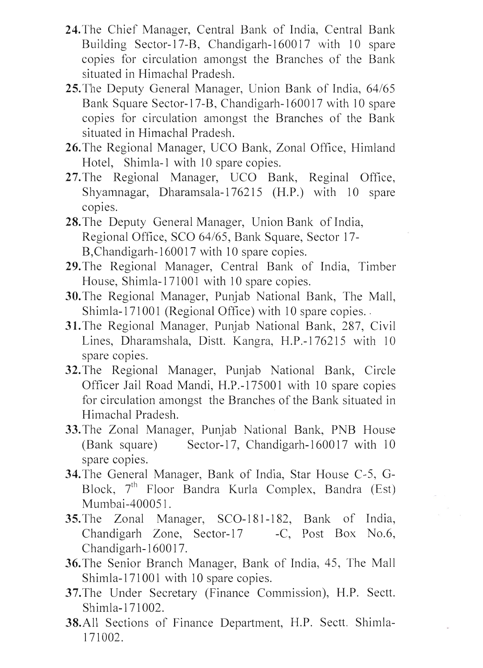- 24. The Chief Manager, Central Bank of India, Central Bank Building Sector-17-B, Chandigarh-160017 with 10 spare copies for circulation amongst the Branches of the Bank situated in Himachal Pradesh.
- 25. The Deputy General Manager, Union Bank of India, *64/65*  Bank Square Sector-17-B, Chandigarh-1600 17 with 10 spare copies for circulation amongst the Branches of the Bank situated in Himachal Pradesh.
- 26. The Regional Manager, UCO Bank, Zonal Office, Himland Hotel, Shimla-l with 10 spare copies.
- 27. The Regional Manager, UCO Bank, Reginal Office, Shyamnagar, Dharamsala-176215 (H.P.) with 10 spare copies.
- 28. The Deputy General Manager, Union Bank of India, Regional Office, SCO *64/65,* Bank Square, Sector 17- B, Chandigarh-160017 with 10 spare copies.
- 29. The Regional Manager, Central Bank of India, Timber House, Shimla-171001 with 10 spare copies.
- 30. The Regional Manager, Punjab National Bank, The Mall, Shimla-171001 (Regional Office) with 10 spare copies. -
- **31.** The Regional Manager, Punjab National Bank, 287, Civil Lines, Dharamshala, Distt. Kangra, H.P.-176215 with 10 spare copies.
- 32.The Regional Manager, Punjab National Bank, Circle Officer Jail Road Mandi, H.P.-17S001 with 10 spare copies for circulation amongst the Branches of the Bank situated in Himachal Pradesh.
- 33.The Zonal Manager, Punjab National Bank, PNB House (Bank square) Sector-17, Chandigarh-160017 with 10 spare copies.
- 34. The General Manager, Bank of India, Star House C-5, G-Block, 7<sup>th</sup> Floor Bandra Kurla Complex, Bandra (Est) Mumbai-400051.
- 35. The Zonal Manager, SCO-181-182, Bank of India, Chandigarh Zone, Sector-17 -C, Post Box No.6, Chandigarh-160017.
- 36. The Senior Branch Manager, Bank of India, 45, The Mall Shimla-171001 with 10 spare copies.
- 37.The Under Secretary (Finance Commission), H.P. Sectt. Shimla-l 71 002.
- 38.All Sections of Finance Department, H.P. Sectt. Shimla-171002.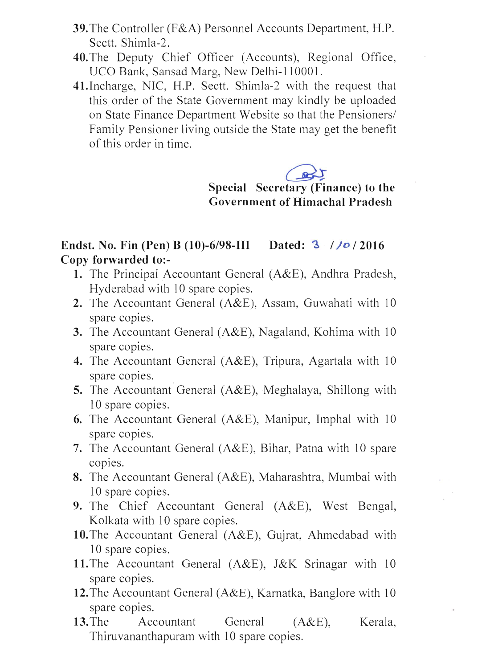- **39.** The Controller (F&A) Personnel Accounts Department, H.P. Sectt. Shimla-2.
- **40.** The Deputy Chief Officer (Accounts), Regional Office, UCO Bank, Sansad Marg, New Delhi-110001.
- 4l.Incharge, NIC, H.P. Sectt. Shimla-2 with the request that this order of the State Government may kindly be uploaded on State Finance Department Website so that the Pensioners/ Family Pensioner living outside the State may get the benefit of this order in time.

 $Special$  **Secretary** (Finance) to the **Government of Himachal Pradesh** 

## **Endst. No. Fin (Pen) B (10)-6/98-111 Dated:** ~ **/ }o /2016 Copy forwarded to:-**

- 1. The Principal Accountant General (A&E), Andhra Pradesh, Hyderabad with 10 spare copies.
- **2.** The Accountant General (A&E), Assam, Guwahati with lO spare copies.
- **3.** The Accountant General (A&E), Nagaland, Kohima with 10 spare copies.
- 4. The Accountant General (A&E), Tripura, Agartala with 10 spare copies.
- **5.** The Accountant General (A&E), Meghalaya, Shillong with 10 spare copies.
- **6.** The Accountant General  $(A & E)$ , Manipur, Imphal with 10 spare copies.
- **7.** The Accountant General (A&E), Bihar, Patna with 10 spare copies.
- **8.** The Accountant General (A&E), Maharashtra, Mumbai with 10 spare copies.
- **9.** The Chief Accountant General (A&E), West Bengal, Kolkata with 10 spare copies.
- **10.The** Accountant General (A&E), Gujrat, Ahmedabad with 10 spare copies.
- **11.** The Accountant General (A&E), J&K Srinagar with 10 spare copies.
- **12.** The Accountant General (A&E), Karnatka, Banglore with 10 spare copies.
- 13. The Accountant General (A&E), Kerala, Thiruvananthapuram with 10 spare copies.